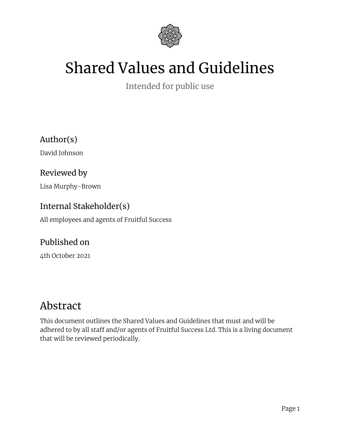

# Shared Values and Guidelines

Intended for public use

Author(s)

David Johnson

Reviewed by

Lisa Murphy-Brown

#### Internal Stakeholder(s)

All employees and agents of Fruitful Success

#### Published on

4th October 2021

#### Abstract

This document outlines the Shared Values and Guidelines that must and will be adhered to by all staff and/or agents of Fruitful Success Ltd. This is a living document that will be reviewed periodically.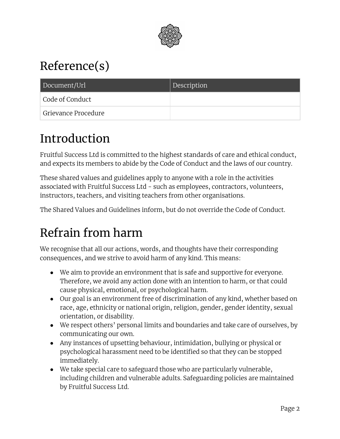

# Reference(s)

| Document/Url        | Description |
|---------------------|-------------|
| Code of Conduct     |             |
| Grievance Procedure |             |

### Introduction

Fruitful Success Ltd is committed to the highest standards of care and ethical conduct, and expects its members to abide by the Code of Conduct and the laws of our country.

These shared values and guidelines apply to anyone with a role in the activities associated with Fruitful Success Ltd - such as employees, contractors, volunteers, instructors, teachers, and visiting teachers from other organisations.

The Shared Values and Guidelines inform, but do not override the Code of Conduct.

### Refrain from harm

We recognise that all our actions, words, and thoughts have their corresponding consequences, and we strive to avoid harm of any kind. This means:

- We aim to provide an environment that is safe and supportive for everyone. Therefore, we avoid any action done with an intention to harm, or that could cause physical, emotional, or psychological harm.
- Our goal is an environment free of discrimination of any kind, whether based on race, age, ethnicity or national origin, religion, gender, gender identity, sexual orientation, or disability.
- We respect others' personal limits and boundaries and take care of ourselves, by communicating our own.
- Any instances of upsetting behaviour, intimidation, bullying or physical or psychological harassment need to be identified so that they can be stopped immediately.
- We take special care to safeguard those who are particularly vulnerable, including children and vulnerable adults. Safeguarding policies are maintained by Fruitful Success Ltd.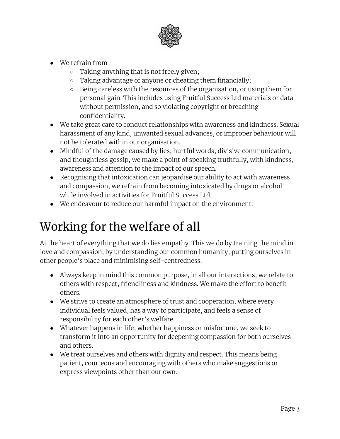

- We refrain from
	- Taking anything that is not freely given;
	- Taking advantage of anyone or cheating them financially;
	- Being careless with the resources of the organisation, or using them for personal gain. This includes using Fruitful Success Ltd materials or data without permission, and so violating copyright or breaching confidentiality.
- We take great care to conduct relationships with awareness and kindness. Sexual harassment of any kind, unwanted sexual advances, or improper behaviour will not be tolerated within our organisation.
- Mindful of the damage caused by lies, hurtful words, divisive communication, and thoughtless gossip, we make a point of speaking truthfully, with kindness, awareness and attention to the impact of our speech.
- Recognising that intoxication can jeopardise our ability to act with awareness and compassion, we refrain from becoming intoxicated by drugs or alcohol while involved in activities for Fruitful Success Ltd.
- We endeavour to reduce our harmful impact on the environment.

### Working for the welfare of all

At the heart of everything that we do lies empathy. This we do by training the mind in love and compassion, by understanding our common humanity, putting ourselves in other people's place and minimising self-centredness.

- Always keep in mind this common purpose, in all our interactions, we relate to others with respect, friendliness and kindness. We make the effort to benefit others.
- We strive to create an atmosphere of trust and cooperation, where every individual feels valued, has a way to participate, and feels a sense of responsibility for each other's welfare.
- Whatever happens in life, whether happiness or misfortune, we seek to transform it into an opportunity for deepening compassion for both ourselves and others.
- We treat ourselves and others with dignity and respect. This means being patient, courteous and encouraging with others who make suggestions or express viewpoints other than our own.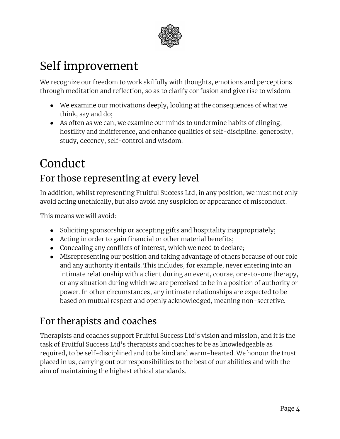

### Self improvement

We recognize our freedom to work skilfully with thoughts, emotions and perceptions through meditation and reflection, so as to clarify confusion and give rise to wisdom.

- We examine our motivations deeply, looking at the consequences of what we think, say and do;
- As often as we can, we examine our minds to undermine habits of clinging, hostility and indifference, and enhance qualities of self-discipline, generosity, study, decency, self-control and wisdom.

# Conduct For those representing at every level

In addition, whilst representing Fruitful Success Ltd, in any position, we must not only avoid acting unethically, but also avoid any suspicion or appearance of misconduct.

This means we will avoid:

- Soliciting sponsorship or accepting gifts and hospitality inappropriately;
- Acting in order to gain financial or other material benefits;
- Concealing any conflicts of interest, which we need to declare;
- Misrepresenting our position and taking advantage of others because of our role and any authority it entails. This includes, for example, never entering into an intimate relationship with a client during an event, course, one-to-one therapy, or any situation during which we are perceived to be in a position of authority or power. In other circumstances, any intimate relationships are expected to be based on mutual respect and openly acknowledged, meaning non-secretive.

#### For therapists and coaches

Therapists and coaches support Fruitful Success Ltd's vision and mission, and it is the task of Fruitful Success Ltd's therapists and coaches to be as knowledgeable as required, to be self-disciplined and to be kind and warm-hearted. We honour the trust placed in us, carrying out our responsibilities to the best of our abilities and with the aim of maintaining the highest ethical standards.